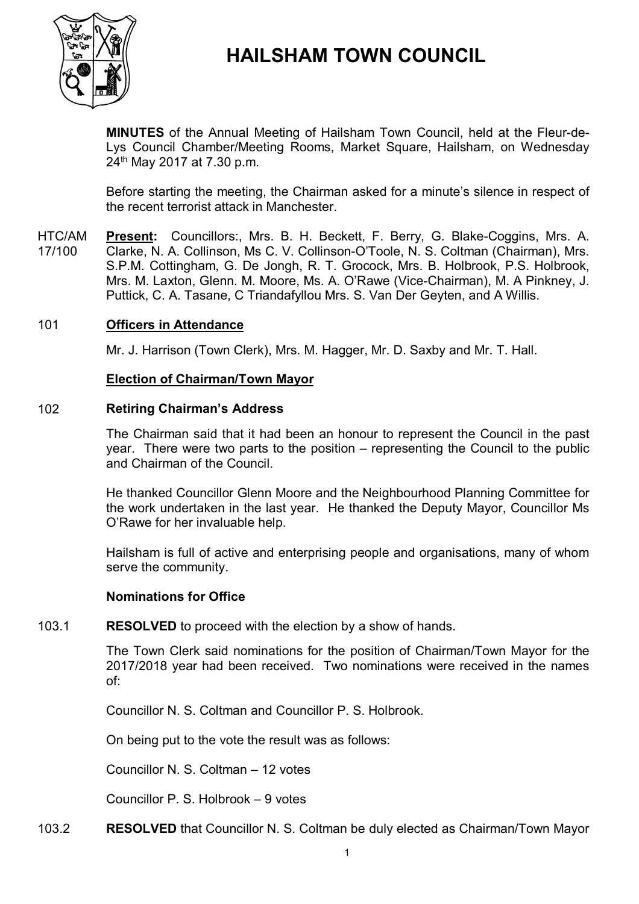

# **HAILSHAM TOWN COUNCIL**

**MINUTES** of the Annual Meeting of Hailsham Town Council, held at the Fleur-de-Lys Council Chamber/Meeting Rooms, Market Square, Hailsham, on Wednesday 24 th May 2017 at 7.30 p.m.

Before starting the meeting, the Chairman asked for a minute's silence in respect of the recent terrorist attack in Manchester.

HTC/AM 17/100 **Present:** Councillors:, Mrs. B. H. Beckett, F. Berry, G. Blake-Coggins, Mrs. A. Clarke, N. A. Collinson, Ms C. V. Collinson-O'Toole, N. S. Coltman (Chairman), Mrs. S.P.M. Cottingham, G. De Jongh, R. T. Grocock, Mrs. B. Holbrook, P.S. Holbrook, Mrs. M. Laxton, Glenn. M. Moore, Ms. A. O'Rawe (Vice-Chairman), M. A Pinkney, J. Puttick, C. A. Tasane, C Triandafyllou Mrs. S. Van Der Geyten, and A Willis.

### 101 **Officers in Attendance**

Mr. J. Harrison (Town Clerk), Mrs. M. Hagger, Mr. D. Saxby and Mr. T. Hall.

#### **Election of Chairman/Town Mayor**

#### 102 **Retiring Chairman's Address**

The Chairman said that it had been an honour to represent the Council in the past year. There were two parts to the position – representing the Council to the public and Chairman of the Council.

He thanked Councillor Glenn Moore and the Neighbourhood Planning Committee for the work undertaken in the last year. He thanked the Deputy Mayor, Councillor Ms O'Rawe for her invaluable help.

Hailsham is full of active and enterprising people and organisations, many of whom serve the community.

#### **Nominations for Office**

#### 103.1 **RESOLVED** to proceed with the election by a show of hands.

The Town Clerk said nominations for the position of Chairman/Town Mayor for the 2017/2018 year had been received. Two nominations were received in the names of:

Councillor N. S. Coltman and Councillor P. S. Holbrook.

On being put to the vote the result was as follows:

Councillor N. S. Coltman – 12 votes

Councillor P. S. Holbrook – 9 votes

103.2 **RESOLVED** that Councillor N. S. Coltman be duly elected as Chairman/Town Mayor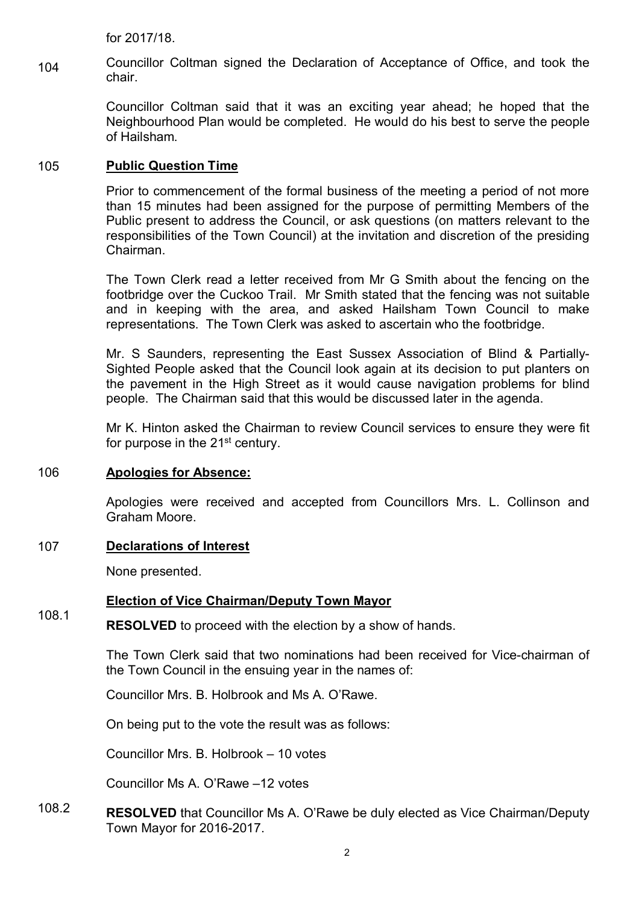for 2017/18.

104 Councillor Coltman signed the Declaration of Acceptance of Office, and took the chair.

> Councillor Coltman said that it was an exciting year ahead; he hoped that the Neighbourhood Plan would be completed. He would do his best to serve the people of Hailsham.

### 105 **Public Question Time**

Prior to commencement of the formal business of the meeting a period of not more than 15 minutes had been assigned for the purpose of permitting Members of the Public present to address the Council, or ask questions (on matters relevant to the responsibilities of the Town Council) at the invitation and discretion of the presiding Chairman.

The Town Clerk read a letter received from Mr G Smith about the fencing on the footbridge over the Cuckoo Trail. Mr Smith stated that the fencing was not suitable and in keeping with the area, and asked Hailsham Town Council to make representations. The Town Clerk was asked to ascertain who the footbridge.

Mr. S Saunders, representing the East Sussex Association of Blind & Partially-Sighted People asked that the Council look again at its decision to put planters on the pavement in the High Street as it would cause navigation problems for blind people. The Chairman said that this would be discussed later in the agenda.

Mr K. Hinton asked the Chairman to review Council services to ensure they were fit for purpose in the 21<sup>st</sup> century.

### 106 **Apologies for Absence:**

Apologies were received and accepted from Councillors Mrs. L. Collinson and Graham Moore.

## 107 **Declarations of Interest**

None presented.

### **Election of Vice Chairman/Deputy Town Mayor**

#### 108.1 **RESOLVED** to proceed with the election by a show of hands.

The Town Clerk said that two nominations had been received for Vice-chairman of the Town Council in the ensuing year in the names of:

Councillor Mrs. B. Holbrook and Ms A. O'Rawe.

On being put to the vote the result was as follows:

Councillor Mrs. B. Holbrook – 10 votes

Councillor Ms A. O'Rawe –12 votes

108.2 **RESOLVED** that Councillor Ms A. O'Rawe be duly elected as Vice Chairman/Deputy Town Mayor for 2016-2017.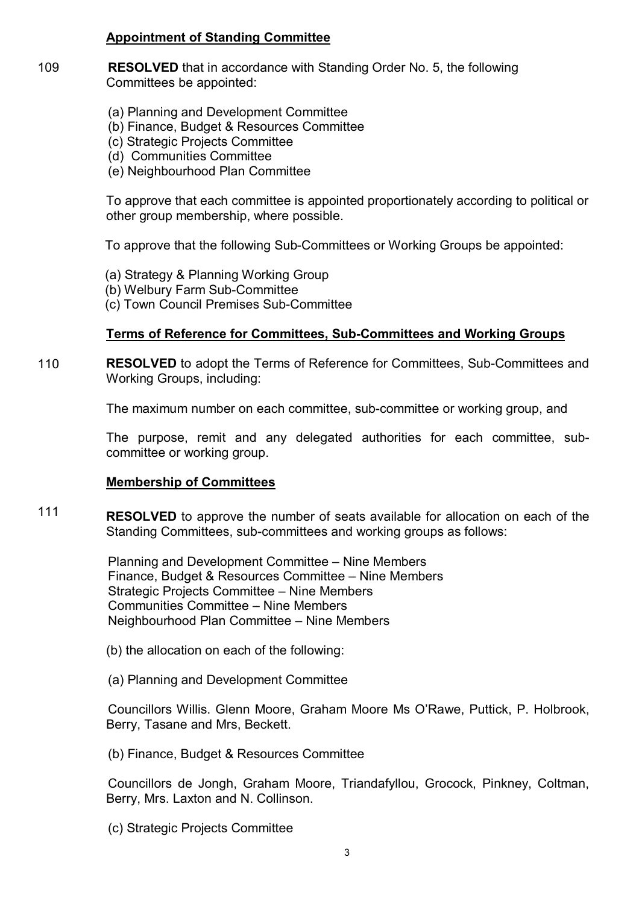## **Appointment of Standing Committee**

- 109 **RESOLVED** that in accordance with Standing Order No. 5, the following Committees be appointed:
	- (a) Planning and Development Committee
	- (b) Finance, Budget & Resources Committee
	- (c) Strategic Projects Committee
	- (d) Communities Committee
	- (e) Neighbourhood Plan Committee

To approve that each committee is appointed proportionately according to political or other group membership, where possible.

To approve that the following Sub-Committees or Working Groups be appointed:

- (a) Strategy & Planning Working Group
- (b) Welbury Farm Sub-Committee
- (c) Town Council Premises Sub-Committee

## **Terms of Reference for Committees, Sub-Committees and Working Groups**

110 **RESOLVED** to adopt the Terms of Reference for Committees, Sub-Committees and Working Groups, including:

The maximum number on each committee, sub-committee or working group, and

The purpose, remit and any delegated authorities for each committee, subcommittee or working group.

### **Membership of Committees**

111 **RESOLVED** to approve the number of seats available for allocation on each of the Standing Committees, sub-committees and working groups as follows:

> Planning and Development Committee – Nine Members Finance, Budget & Resources Committee – Nine Members Strategic Projects Committee – Nine Members Communities Committee – Nine Members Neighbourhood Plan Committee – Nine Members

- (b) the allocation on each of the following:
- (a) Planning and Development Committee

Councillors Willis. Glenn Moore, Graham Moore Ms O'Rawe, Puttick, P. Holbrook, Berry, Tasane and Mrs, Beckett.

(b) Finance, Budget & Resources Committee

Councillors de Jongh, Graham Moore, Triandafyllou, Grocock, Pinkney, Coltman, Berry, Mrs. Laxton and N. Collinson.

(c) Strategic Projects Committee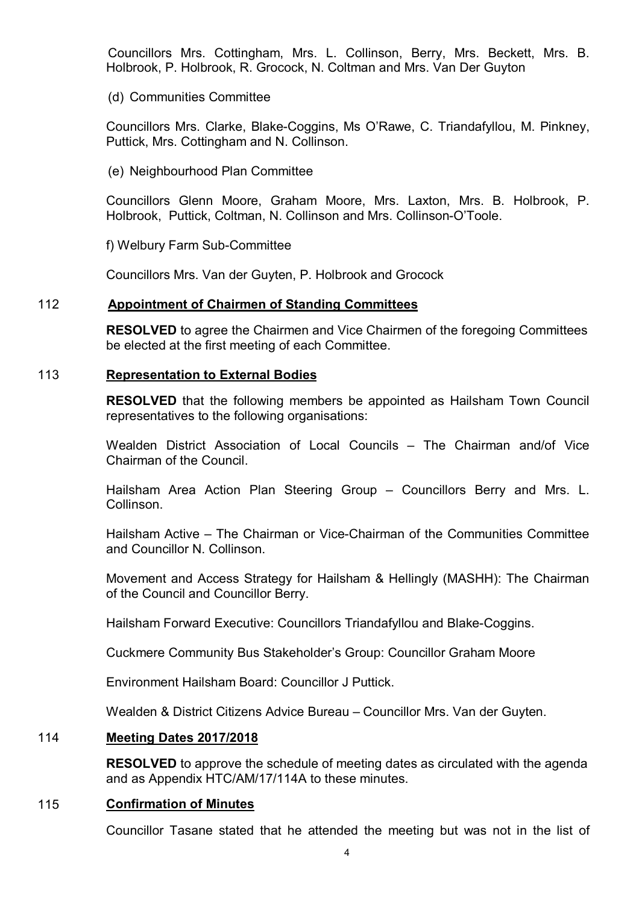Councillors Mrs. Cottingham, Mrs. L. Collinson, Berry, Mrs. Beckett, Mrs. B. Holbrook, P. Holbrook, R. Grocock, N. Coltman and Mrs. Van Der Guyton

(d) Communities Committee

Councillors Mrs. Clarke, Blake-Coggins, Ms O'Rawe, C. Triandafyllou, M. Pinkney, Puttick, Mrs. Cottingham and N. Collinson.

(e) Neighbourhood Plan Committee

Councillors Glenn Moore, Graham Moore, Mrs. Laxton, Mrs. B. Holbrook, P. Holbrook, Puttick, Coltman, N. Collinson and Mrs. Collinson-O'Toole.

f) Welbury Farm Sub-Committee

Councillors Mrs. Van der Guyten, P. Holbrook and Grocock

#### 112 **Appointment of Chairmen of Standing Committees**

**RESOLVED** to agree the Chairmen and Vice Chairmen of the foregoing Committees be elected at the first meeting of each Committee.

#### 113 **Representation to External Bodies**

**RESOLVED** that the following members be appointed as Hailsham Town Council representatives to the following organisations:

Wealden District Association of Local Councils – The Chairman and/of Vice Chairman of the Council.

Hailsham Area Action Plan Steering Group – Councillors Berry and Mrs. L. Collinson.

Hailsham Active – The Chairman or Vice-Chairman of the Communities Committee and Councillor N. Collinson.

Movement and Access Strategy for Hailsham & Hellingly (MASHH): The Chairman of the Council and Councillor Berry.

Hailsham Forward Executive: Councillors Triandafyllou and Blake-Coggins.

Cuckmere Community Bus Stakeholder's Group: Councillor Graham Moore

Environment Hailsham Board: Councillor J Puttick.

Wealden & District Citizens Advice Bureau – Councillor Mrs. Van der Guyten.

### 114 **Meeting Dates 2017/2018**

**RESOLVED** to approve the schedule of meeting dates as circulated with the agenda and as Appendix HTC/AM/17/114A to these minutes.

#### 115 **Confirmation of Minutes**

Councillor Tasane stated that he attended the meeting but was not in the list of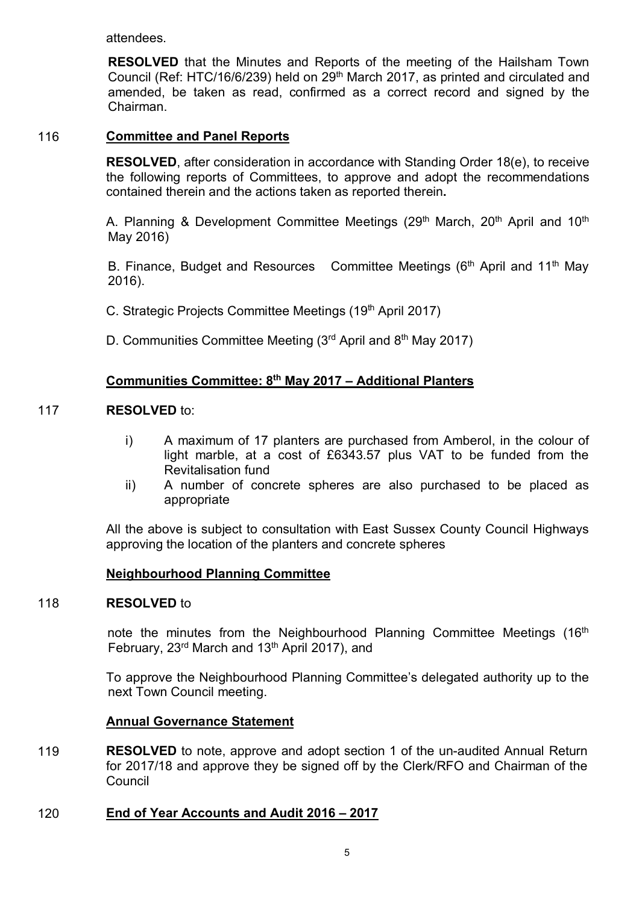attendees.

**RESOLVED** that the Minutes and Reports of the meeting of the Hailsham Town Council (Ref: HTC/16/6/239) held on 29<sup>th</sup> March 2017, as printed and circulated and amended, be taken as read, confirmed as a correct record and signed by the Chairman.

### 116 **Committee and Panel Reports**

**RESOLVED**, after consideration in accordance with Standing Order 18(e), to receive the following reports of Committees, to approve and adopt the recommendations contained therein and the actions taken as reported therein**.**

A. Planning & Development Committee Meetings (29<sup>th</sup> March, 20<sup>th</sup> April and 10<sup>th</sup> May 2016)

B. Finance, Budget and Resources Committee Meetings  $(6<sup>th</sup>$  April and 11<sup>th</sup> May 2016).

C. Strategic Projects Committee Meetings (19<sup>th</sup> April 2017)

D. Communities Committee Meeting (3<sup>rd</sup> April and 8<sup>th</sup> May 2017)

## **Communities Committee: 8th May 2017 – Additional Planters**

#### 117 **RESOLVED** to:

- i) A maximum of 17 planters are purchased from Amberol, in the colour of light marble, at a cost of £6343.57 plus VAT to be funded from the Revitalisation fund
- ii) A number of concrete spheres are also purchased to be placed as appropriate

All the above is subject to consultation with East Sussex County Council Highways approving the location of the planters and concrete spheres

### **Neighbourhood Planning Committee**

#### 118 **RESOLVED** to

note the minutes from the Neighbourhood Planning Committee Meetings (16<sup>th</sup> February, 23<sup>rd</sup> March and 13<sup>th</sup> April 2017), and

To approve the Neighbourhood Planning Committee's delegated authority up to the next Town Council meeting.

### **Annual Governance Statement**

119 **RESOLVED** to note, approve and adopt section 1 of the un-audited Annual Return for 2017/18 and approve they be signed off by the Clerk/RFO and Chairman of the **Council** 

### 120 **End of Year Accounts and Audit 2016 – 2017**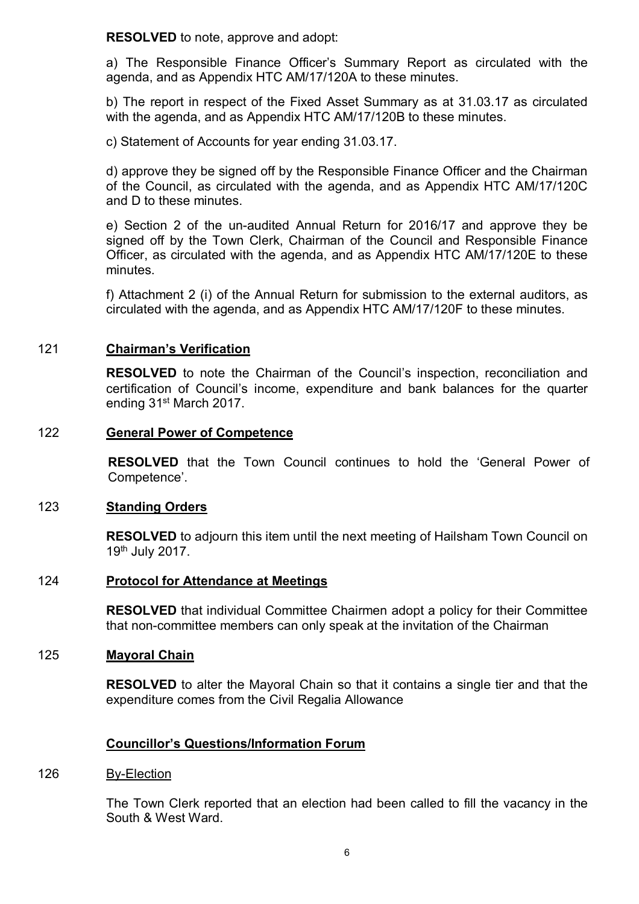**RESOLVED** to note, approve and adopt:

a) The Responsible Finance Officer's Summary Report as circulated with the agenda, and as Appendix HTC AM/17/120A to these minutes.

b) The report in respect of the Fixed Asset Summary as at 31.03.17 as circulated with the agenda, and as Appendix HTC AM/17/120B to these minutes.

c) Statement of Accounts for year ending 31.03.17.

d) approve they be signed off by the Responsible Finance Officer and the Chairman of the Council, as circulated with the agenda, and as Appendix HTC AM/17/120C and D to these minutes.

e) Section 2 of the un-audited Annual Return for 2016/17 and approve they be signed off by the Town Clerk, Chairman of the Council and Responsible Finance Officer, as circulated with the agenda, and as Appendix HTC AM/17/120E to these minutes.

f) Attachment 2 (i) of the Annual Return for submission to the external auditors, as circulated with the agenda, and as Appendix HTC AM/17/120F to these minutes.

### 121 **Chairman's Verification**

**RESOLVED** to note the Chairman of the Council's inspection, reconciliation and certification of Council's income, expenditure and bank balances for the quarter ending 31<sup>st</sup> March 2017.

### 122 **General Power of Competence**

**RESOLVED** that the Town Council continues to hold the 'General Power of Competence'.

#### 123 **Standing Orders**

**RESOLVED** to adjourn this item until the next meeting of Hailsham Town Council on 19th July 2017.

### 124 **Protocol for Attendance at Meetings**

**RESOLVED** that individual Committee Chairmen adopt a policy for their Committee that non-committee members can only speak at the invitation of the Chairman

#### 125 **Mayoral Chain**

**RESOLVED** to alter the Mayoral Chain so that it contains a single tier and that the expenditure comes from the Civil Regalia Allowance

### **Councillor's Questions/Information Forum**

#### 126 By-Election

The Town Clerk reported that an election had been called to fill the vacancy in the South & West Ward.